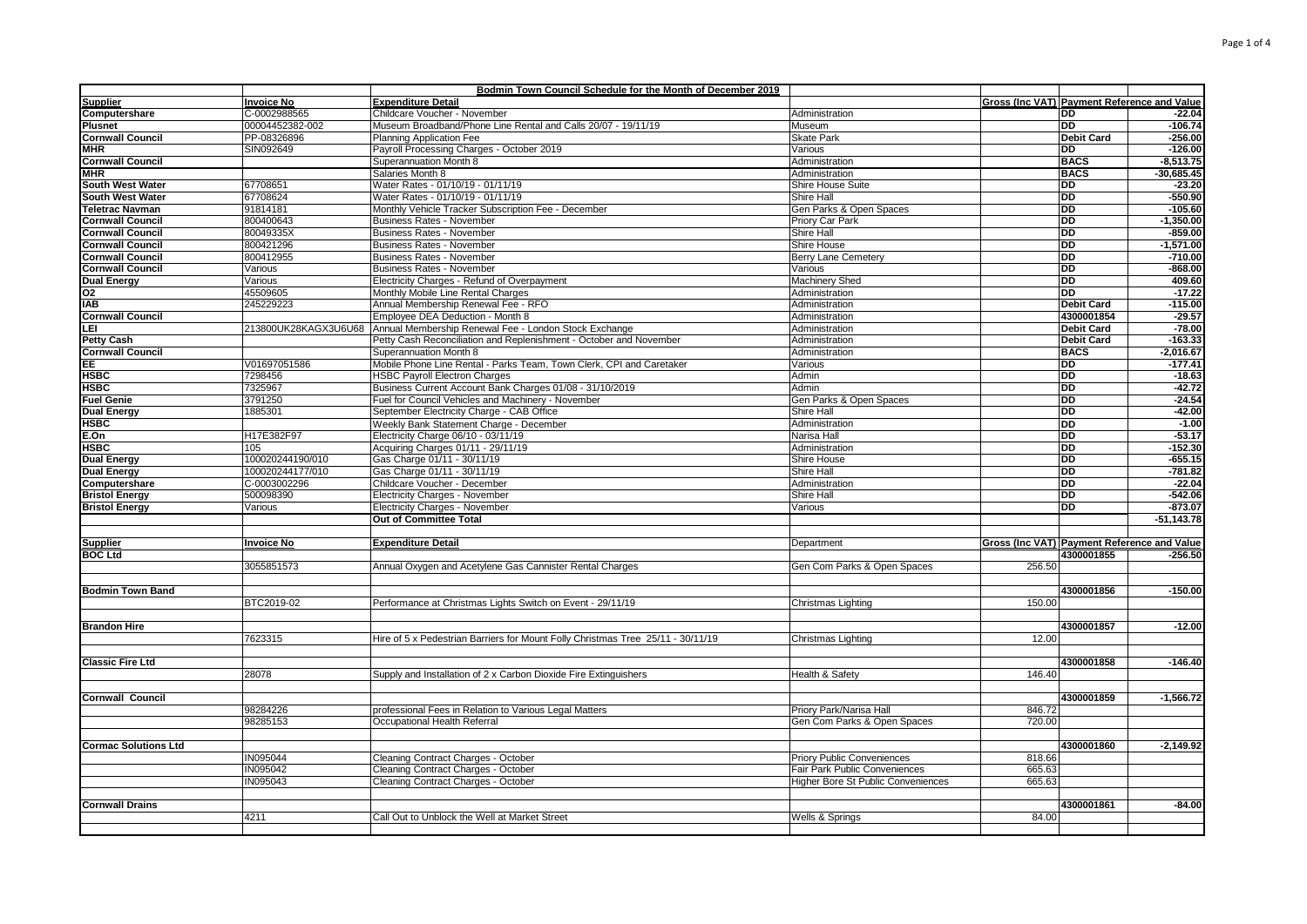|                                       |                      | Bodmin Town Council Schedule for the Month of December 2019                     |                                           |                                                    |                   |                       |
|---------------------------------------|----------------------|---------------------------------------------------------------------------------|-------------------------------------------|----------------------------------------------------|-------------------|-----------------------|
| <b>Supplier</b>                       | <b>Invoice No</b>    | <b>Expenditure Detail</b>                                                       |                                           | Gross (Inc VAT) Payment Reference and Value        |                   |                       |
| Computershare                         | C-0002988565         | Childcare Voucher - November                                                    | Administration                            |                                                    | <b>DD</b>         | $-22.04$              |
| Plusnet                               | 00004452382-002      | Museum Broadband/Phone Line Rental and Calls 20/07 - 19/11/19                   | Museum                                    |                                                    | <b>DD</b>         | $-106.74$             |
| <b>Cornwall Council</b>               | PP-08326896          | Planning Application Fee                                                        | <b>Skate Park</b>                         |                                                    | <b>Debit Card</b> | $-256.00$             |
| <b>MHR</b>                            | SIN092649            | Payroll Processing Charges - October 2019                                       | Various                                   |                                                    | <b>DD</b>         | $-126.00$             |
| <b>Cornwall Council</b>               |                      | Superannuation Month 8                                                          | Administration                            |                                                    | <b>BACS</b>       | $-8,513.75$           |
| MHR                                   |                      | Salaries Month 8                                                                | Administration                            |                                                    | <b>BACS</b>       | $-30,685.45$          |
| <b>South West Water</b>               | 67708651             | Water Rates - 01/10/19 - 01/11/19                                               | Shire House Suite                         |                                                    | <b>DD</b>         | $-23.20$              |
| South West Water                      | 67708624             | Water Rates - 01/10/19 - 01/11/19                                               | Shire Hall                                |                                                    | <b>DD</b>         | $-550.90$             |
| Teletrac Navman                       | 91814181             | Monthly Vehicle Tracker Subscription Fee - December                             | Gen Parks & Open Spaces                   |                                                    | <b>DD</b>         | $-105.60$             |
| <b>Cornwall Council</b>               | 800400643            | <b>Business Rates - November</b>                                                | Priory Car Park                           |                                                    | <b>DD</b>         | $-1,350.00$           |
| <b>Cornwall Council</b>               | 80049335X            | <b>Business Rates - November</b>                                                | <b>Shire Hall</b>                         |                                                    | <b>DD</b>         | $-859.00$             |
| <b>Cornwall Council</b>               | 800421296            | <b>Business Rates - November</b>                                                | Shire House                               |                                                    | DD                | $-1,571.00$           |
| <b>Cornwall Council</b>               | 800412955            | <b>Business Rates - November</b>                                                | Berry Lane Cemetery                       |                                                    | DD                | $-710.00$             |
| <b>Cornwall Council</b>               | Various              | <b>Business Rates - November</b>                                                | Various                                   |                                                    | DD                | $-868.00$             |
| <b>Dual Energy</b>                    | Various              | Electricity Charges - Refund of Overpayment                                     | <b>Machinery Shed</b>                     |                                                    | <b>DD</b>         | 409.60                |
| 02                                    | 45509605             | Monthly Mobile Line Rental Charges                                              | Administration                            |                                                    | <b>DD</b>         | $-17.22$              |
|                                       |                      |                                                                                 |                                           |                                                    | <b>Debit Card</b> |                       |
| <b>IAB</b><br><b>Cornwall Council</b> | 245229223            | Annual Membership Renewal Fee - RFO<br>Employee DEA Deduction - Month 8         | Administration                            |                                                    | 4300001854        | $-115.00$<br>$-29.57$ |
|                                       | 213800UK28KAGX3U6U68 |                                                                                 | Administration                            |                                                    |                   | $-78.00$              |
| LEI                                   |                      | Annual Membership Renewal Fee - London Stock Exchange                           | Administration                            |                                                    | <b>Debit Card</b> |                       |
| Petty Cash                            |                      | Petty Cash Reconciliation and Replenishment - October and November              | Administration                            |                                                    | <b>Debit Card</b> | $-163.33$             |
| <b>Cornwall Council</b>               |                      | Superannuation Month 8                                                          | Administration                            |                                                    | <b>BACS</b>       | $-2,016.67$           |
| EE.                                   | V01697051586         | Mobile Phone Line Rental - Parks Team, Town Clerk, CPI and Caretaker            | Various                                   |                                                    | <b>DD</b>         | $-177.41$             |
| <b>HSBC</b>                           | 7298456              | <b>HSBC Payroll Electron Charges</b>                                            | Admin                                     |                                                    | <b>DD</b>         | $-18.63$              |
| HSBC                                  | 7325967              | Business Current Account Bank Charges 01/08 - 31/10/2019                        | Admin                                     |                                                    | <b>DD</b>         | $-42.72$              |
| Fuel Genie                            | 3791250              | Fuel for Council Vehicles and Machinery - November                              | Gen Parks & Open Spaces                   |                                                    | <b>DD</b>         | $-24.54$              |
| <b>Dual Energy</b>                    | 1885301              | September Electricity Charge - CAB Office                                       | Shire Hall                                |                                                    | <b>DD</b>         | $-42.00$              |
| HSBC                                  |                      | Weekly Bank Statement Charge - December                                         | Administration                            |                                                    | <b>DD</b>         | $-1.00$               |
| E.On                                  | H17E382F97           | Electricity Charge 06/10 - 03/11/19                                             | Narisa Hall                               |                                                    | DD                | $-53.17$              |
| HSBC                                  | 105                  | Acquiring Charges 01/11 - 29/11/19                                              | Administration                            |                                                    | <b>DD</b>         | $-152.30$             |
| <b>Dual Energy</b>                    | 100020244190/010     | Gas Charge 01/11 - 30/11/19                                                     | Shire House                               |                                                    | <b>DD</b>         | $-655.15$             |
| <b>Dual Energy</b>                    | 100020244177/010     | Gas Charge 01/11 - 30/11/19                                                     | Shire Hall                                |                                                    | <b>DD</b>         | $-781.82$             |
| Computershare                         | C-0003002296         | Childcare Voucher - December                                                    | Administration                            |                                                    | <b>DD</b>         | $-22.04$              |
| <b>Bristol Energy</b>                 | 500098390            | Electricity Charges - November                                                  | Shire Hall                                |                                                    | <b>DD</b>         | $-542.06$             |
| <b>Bristol Energy</b>                 | Various              | <b>Electricity Charges - November</b>                                           | Various                                   |                                                    | <b>DD</b>         | $-873.07$             |
|                                       |                      | Out of Committee Total                                                          |                                           |                                                    |                   | $-51,143.78$          |
|                                       |                      |                                                                                 |                                           |                                                    |                   |                       |
| <b>Supplier</b>                       | <b>Invoice No</b>    | <b>Expenditure Detail</b>                                                       | Department                                | <b>Gross (Inc VAT) Payment Reference and Value</b> |                   |                       |
| <b>BOC Ltd</b>                        |                      |                                                                                 |                                           |                                                    | 4300001855        | $-256.50$             |
|                                       | 3055851573           | Annual Oxygen and Acetylene Gas Cannister Rental Charges                        | Gen Com Parks & Open Spaces               | 256.50                                             |                   |                       |
|                                       |                      |                                                                                 |                                           |                                                    |                   |                       |
| <b>Bodmin Town Band</b>               |                      |                                                                                 |                                           |                                                    | 4300001856        | $-150.00$             |
|                                       | BTC2019-02           | Performance at Christmas Lights Switch on Event - 29/11/19                      | Christmas Lighting                        | 150.00                                             |                   |                       |
|                                       |                      |                                                                                 |                                           |                                                    |                   |                       |
|                                       |                      |                                                                                 |                                           |                                                    | 4300001857        | $-12.00$              |
| <b>Brandon Hire</b>                   |                      |                                                                                 |                                           |                                                    |                   |                       |
|                                       | 7623315              | Hire of 5 x Pedestrian Barriers for Mount Folly Christmas Tree 25/11 - 30/11/19 | Christmas Lighting                        | 12.00                                              |                   |                       |
|                                       |                      |                                                                                 |                                           |                                                    |                   |                       |
| <b>Classic Fire Ltd</b>               |                      |                                                                                 |                                           |                                                    | 4300001858        | $-146.40$             |
|                                       | 28078                | Supply and Installation of 2 x Carbon Dioxide Fire Extinguishers                | Health & Safety                           | 146.40                                             |                   |                       |
|                                       |                      |                                                                                 |                                           |                                                    |                   |                       |
| <b>Cornwall Council</b>               |                      |                                                                                 |                                           |                                                    | 4300001859        | $-1,566.72$           |
|                                       | 98284226             | professional Fees in Relation to Various Legal Matters                          | Priory Park/Narisa Hall                   | 846.72                                             |                   |                       |
|                                       | 98285153             | Occupational Health Referral                                                    | Gen Com Parks & Open Spaces               | 720.00                                             |                   |                       |
|                                       |                      |                                                                                 |                                           |                                                    |                   |                       |
| <b>Cormac Solutions Ltd</b>           |                      |                                                                                 |                                           |                                                    | 4300001860        | $-2,149.92$           |
|                                       | IN095044             | Cleaning Contract Charges - October                                             | <b>Priory Public Conveniences</b>         | 818.66                                             |                   |                       |
|                                       | IN095042             | Cleaning Contract Charges - October                                             | Fair Park Public Conveniences             | 665.63                                             |                   |                       |
|                                       | IN095043             | Cleaning Contract Charges - October                                             | <b>Higher Bore St Public Conveniences</b> | 665.63                                             |                   |                       |
|                                       |                      |                                                                                 |                                           |                                                    |                   |                       |
| <b>Cornwall Drains</b>                |                      |                                                                                 |                                           |                                                    | 4300001861        | $-84.00$              |
|                                       | 4211                 | Call Out to Unblock the Well at Market Street                                   | Wells & Springs                           | 84.00                                              |                   |                       |
|                                       |                      |                                                                                 |                                           |                                                    |                   |                       |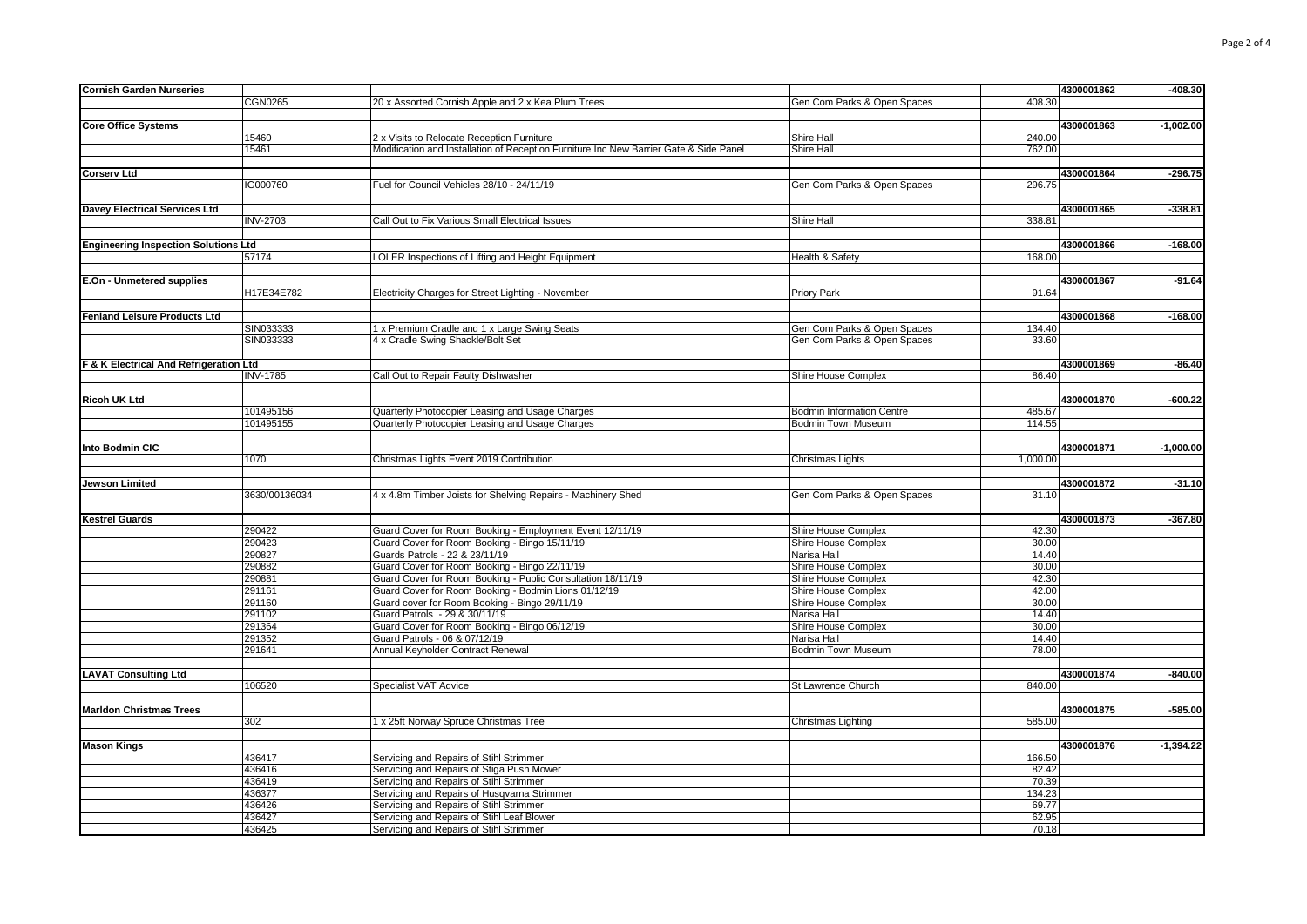| <b>Cornish Garden Nurseries</b>             |                 |                                                                                        |                                  | 4300001862 | $-408.30$   |
|---------------------------------------------|-----------------|----------------------------------------------------------------------------------------|----------------------------------|------------|-------------|
|                                             | <b>CGN0265</b>  | 20 x Assorted Cornish Apple and 2 x Kea Plum Trees                                     | Gen Com Parks & Open Spaces      | 408.30     |             |
|                                             |                 |                                                                                        |                                  |            |             |
| <b>Core Office Systems</b>                  |                 |                                                                                        |                                  | 4300001863 | $-1,002.00$ |
|                                             | 15460           | 2 x Visits to Relocate Reception Furniture                                             | Shire Hall                       | 240.00     |             |
|                                             | 15461           | Modification and Installation of Reception Furniture Inc New Barrier Gate & Side Panel | <b>Shire Hall</b>                | 762.00     |             |
|                                             |                 |                                                                                        |                                  |            |             |
|                                             |                 |                                                                                        |                                  |            |             |
| <b>Corserv Ltd</b>                          |                 |                                                                                        |                                  | 4300001864 | $-296.75$   |
|                                             | IG000760        | Fuel for Council Vehicles 28/10 - 24/11/19                                             | Gen Com Parks & Open Spaces      | 296.75     |             |
|                                             |                 |                                                                                        |                                  |            |             |
| Davey Electrical Services Ltd               |                 |                                                                                        |                                  | 4300001865 | $-338.81$   |
|                                             |                 |                                                                                        | Shire Hall                       | 338.81     |             |
|                                             | <b>INV-2703</b> | Call Out to Fix Various Small Electrical Issues                                        |                                  |            |             |
|                                             |                 |                                                                                        |                                  |            |             |
| <b>Engineering Inspection Solutions Ltd</b> |                 |                                                                                        |                                  | 4300001866 | $-168.00$   |
|                                             | 57174           | LOLER Inspections of Lifting and Height Equipment                                      | Health & Safety                  | 168.00     |             |
|                                             |                 |                                                                                        |                                  |            |             |
|                                             |                 |                                                                                        |                                  | 4300001867 | $-91.64$    |
| E.On - Unmetered supplies                   |                 |                                                                                        |                                  |            |             |
|                                             | H17E34E782      | Electricity Charges for Street Lighting - November                                     | Priory Park                      | 91.64      |             |
|                                             |                 |                                                                                        |                                  |            |             |
| <b>Fenland Leisure Products Ltd</b>         |                 |                                                                                        |                                  | 4300001868 | $-168.00$   |
|                                             | SIN033333       | 1 x Premium Cradle and 1 x Large Swing Seats                                           | Gen Com Parks & Open Spaces      | 134.40     |             |
|                                             | SIN033333       | 4 x Cradle Swing Shackle/Bolt Set                                                      |                                  | 33.60      |             |
|                                             |                 |                                                                                        | Gen Com Parks & Open Spaces      |            |             |
|                                             |                 |                                                                                        |                                  |            |             |
| F & K Electrical And Refrigeration Ltd      |                 |                                                                                        |                                  | 4300001869 | $-86.40$    |
|                                             | <b>INV-1785</b> | Call Out to Repair Faulty Dishwasher                                                   | Shire House Complex              | 86.40      |             |
|                                             |                 |                                                                                        |                                  |            |             |
| <b>Ricoh UK Ltd</b>                         |                 |                                                                                        |                                  | 4300001870 | $-600.22$   |
|                                             |                 |                                                                                        |                                  |            |             |
|                                             | 101495156       | Quarterly Photocopier Leasing and Usage Charges                                        | <b>Bodmin Information Centre</b> | 485.67     |             |
|                                             | 101495155       | Quarterly Photocopier Leasing and Usage Charges                                        | <b>Bodmin Town Museum</b>        | 114.55     |             |
|                                             |                 |                                                                                        |                                  |            |             |
| Into Bodmin CIC                             |                 |                                                                                        |                                  | 4300001871 | $-1,000.00$ |
|                                             | 1070            | Christmas Lights Event 2019 Contribution                                               | Christmas Lights                 | 1,000.00   |             |
|                                             |                 |                                                                                        |                                  |            |             |
|                                             |                 |                                                                                        |                                  |            |             |
| <b>Jewson Limited</b>                       |                 |                                                                                        |                                  | 4300001872 | $-31.10$    |
|                                             | 3630/00136034   | 4 x 4.8m Timber Joists for Shelving Repairs - Machinery Shed                           | Gen Com Parks & Open Spaces      | 31.10      |             |
|                                             |                 |                                                                                        |                                  |            |             |
| <b>Kestrel Guards</b>                       |                 |                                                                                        |                                  | 4300001873 | $-367.80$   |
|                                             |                 |                                                                                        |                                  |            |             |
|                                             | 290422          | Guard Cover for Room Booking - Employment Event 12/11/19                               | Shire House Complex              | 42.30      |             |
|                                             | 290423          | Guard Cover for Room Booking - Bingo 15/11/19                                          | Shire House Complex              | 30.00      |             |
|                                             | 290827          | Guards Patrols - 22 & 23/11/19                                                         | Narisa Hall                      | 14.40      |             |
|                                             | 290882          | Guard Cover for Room Booking - Bingo 22/11/19                                          | Shire House Complex              | 30.00      |             |
|                                             | 290881          | Guard Cover for Room Booking - Public Consultation 18/11/19                            | Shire House Complex              | 42.30      |             |
|                                             |                 |                                                                                        |                                  | 42.00      |             |
|                                             | 291161          | Guard Cover for Room Booking - Bodmin Lions 01/12/19                                   | Shire House Complex              |            |             |
|                                             | 291160          | Guard cover for Room Booking - Bingo 29/11/19                                          | Shire House Complex              | 30.00      |             |
|                                             | 291102          | Guard Patrols - 29 & 30/11/19                                                          | Narisa Hall                      | 14.40      |             |
|                                             | 291364          | Guard Cover for Room Booking - Bingo 06/12/19                                          | Shire House Complex              | 30.00      |             |
|                                             | 291352          | Guard Patrols - 06 & 07/12/19                                                          | Narisa Hall                      | 14.40      |             |
|                                             | 291641          | Annual Keyholder Contract Renewal                                                      | <b>Bodmin Town Museum</b>        | 78.00      |             |
|                                             |                 |                                                                                        |                                  |            |             |
|                                             |                 |                                                                                        |                                  |            |             |
| <b>LAVAT Consulting Ltd</b>                 |                 |                                                                                        |                                  | 4300001874 | $-840.00$   |
|                                             | 106520          | Specialist VAT Advice                                                                  | St Lawrence Church               | 840.00     |             |
|                                             |                 |                                                                                        |                                  |            |             |
| <b>Marldon Christmas Trees</b>              |                 |                                                                                        |                                  | 4300001875 | $-585.00$   |
|                                             |                 |                                                                                        |                                  |            |             |
|                                             | 302             | 1 x 25ft Norway Spruce Christmas Tree                                                  | Christmas Lighting               | 585.00     |             |
|                                             |                 |                                                                                        |                                  |            |             |
| <b>Mason Kings</b>                          |                 |                                                                                        |                                  | 4300001876 | $-1,394.22$ |
|                                             | 436417          | Servicing and Repairs of Stihl Strimmer                                                |                                  | 166.50     |             |
|                                             | 436416          | Servicing and Repairs of Stiga Push Mower                                              |                                  | 82.42      |             |
|                                             | 436419          | Servicing and Repairs of Stihl Strimmer                                                |                                  | 70.39      |             |
|                                             |                 |                                                                                        |                                  |            |             |
|                                             | 436377          | Servicing and Repairs of Husqvarna Strimmer                                            |                                  | 134.23     |             |
|                                             | 436426          | Servicing and Repairs of Stihl Strimmer                                                |                                  | 69.77      |             |
|                                             | 436427          | Servicing and Repairs of Stihl Leaf Blower                                             |                                  | 62.95      |             |
|                                             | 436425          | Servicing and Repairs of Stihl Strimmer                                                |                                  | 70.18      |             |
|                                             |                 |                                                                                        |                                  |            |             |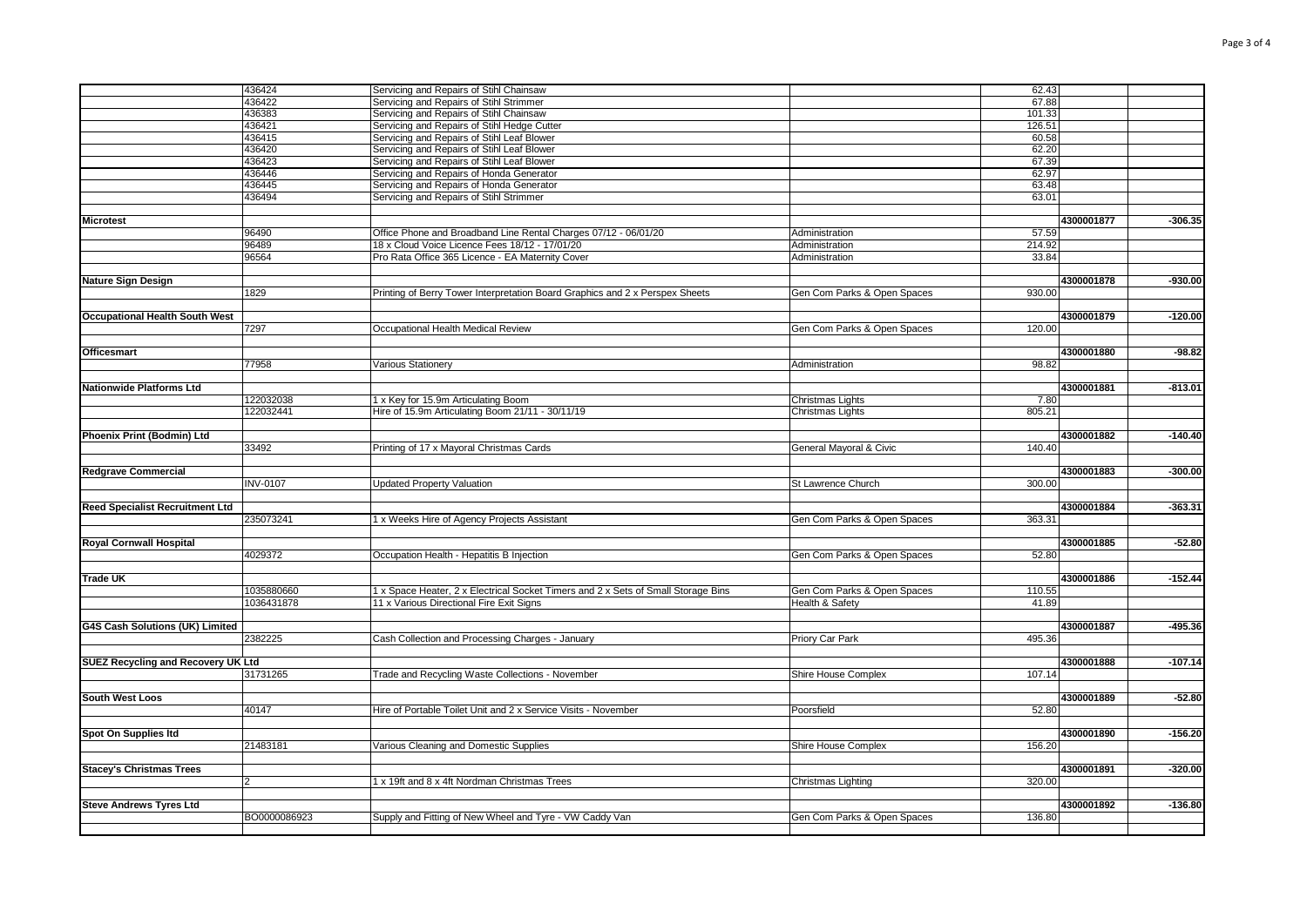|                                           | 436424          | Servicing and Repairs of Stihl Chainsaw                                           |                             | 62.43  |            |           |
|-------------------------------------------|-----------------|-----------------------------------------------------------------------------------|-----------------------------|--------|------------|-----------|
|                                           | 436422          | Servicing and Repairs of Stihl Strimmer                                           |                             | 67.88  |            |           |
|                                           | 436383          | Servicing and Repairs of Stihl Chainsaw                                           |                             | 101.33 |            |           |
|                                           | 436421          | Servicing and Repairs of Stihl Hedge Cutter                                       |                             | 126.51 |            |           |
|                                           | 436415          | Servicing and Repairs of Stihl Leaf Blower                                        |                             | 60.58  |            |           |
|                                           | 436420          | Servicing and Repairs of Stihl Leaf Blower                                        |                             | 62.20  |            |           |
|                                           | 436423          | Servicing and Repairs of Stihl Leaf Blower                                        |                             | 67.39  |            |           |
|                                           | 436446          | Servicing and Repairs of Honda Generator                                          |                             | 62.97  |            |           |
|                                           | 436445          | Servicing and Repairs of Honda Generator                                          |                             | 63.48  |            |           |
|                                           | 436494          | Servicing and Repairs of Stihl Strimmer                                           |                             | 63.01  |            |           |
|                                           |                 |                                                                                   |                             |        |            |           |
| <b>Microtest</b>                          |                 |                                                                                   |                             |        | 4300001877 | $-306.35$ |
|                                           | 96490           | Office Phone and Broadband Line Rental Charges 07/12 - 06/01/20                   | Administration              | 57.59  |            |           |
|                                           | 96489           | 18 x Cloud Voice Licence Fees 18/12 - 17/01/20                                    | Administration              | 214.92 |            |           |
|                                           | 96564           | Pro Rata Office 365 Licence - EA Maternity Cover                                  | Administration              | 33.84  |            |           |
|                                           |                 |                                                                                   |                             |        |            |           |
| <b>Nature Sign Design</b>                 |                 |                                                                                   |                             |        | 4300001878 | $-930.00$ |
|                                           | 1829            | Printing of Berry Tower Interpretation Board Graphics and 2 x Perspex Sheets      | Gen Com Parks & Open Spaces | 930.00 |            |           |
|                                           |                 |                                                                                   |                             |        |            |           |
| <b>Occupational Health South West</b>     |                 |                                                                                   |                             |        | 4300001879 | $-120.00$ |
|                                           | 7297            | Occupational Health Medical Review                                                | Gen Com Parks & Open Spaces | 120.00 |            |           |
|                                           |                 |                                                                                   |                             |        |            |           |
| <b>Officesmart</b>                        |                 |                                                                                   |                             |        | 4300001880 | $-98.82$  |
|                                           | 77958           | <b>Various Stationery</b>                                                         | Administration              | 98.82  |            |           |
|                                           |                 |                                                                                   |                             |        |            |           |
|                                           |                 |                                                                                   |                             |        | 4300001881 |           |
| <b>Nationwide Platforms Ltd</b>           |                 |                                                                                   |                             |        |            | $-813.01$ |
|                                           | 122032038       | 1 x Key for 15.9m Articulating Boom                                               | Christmas Lights            | 7.80   |            |           |
|                                           | 122032441       | Hire of 15.9m Articulating Boom 21/11 - 30/11/19                                  | Christmas Lights            | 805.21 |            |           |
|                                           |                 |                                                                                   |                             |        |            |           |
| Phoenix Print (Bodmin) Ltd                |                 |                                                                                   |                             |        | 4300001882 | $-140.40$ |
|                                           | 33492           | Printing of 17 x Mayoral Christmas Cards                                          | General Mayoral & Civic     | 140.40 |            |           |
|                                           |                 |                                                                                   |                             |        |            |           |
| <b>Redgrave Commercial</b>                |                 |                                                                                   |                             |        | 4300001883 | $-300.00$ |
|                                           | <b>INV-0107</b> | <b>Updated Property Valuation</b>                                                 | St Lawrence Church          | 300.00 |            |           |
|                                           |                 |                                                                                   |                             |        |            |           |
| <b>Reed Specialist Recruitment Ltd</b>    |                 |                                                                                   |                             |        | 4300001884 | $-363.31$ |
|                                           | 235073241       | 1 x Weeks Hire of Agency Projects Assistant                                       | Gen Com Parks & Open Spaces | 363.31 |            |           |
|                                           |                 |                                                                                   |                             |        |            |           |
| <b>Royal Cornwall Hospital</b>            |                 |                                                                                   |                             |        | 4300001885 | $-52.80$  |
|                                           | 4029372         | Occupation Health - Hepatitis B Injection                                         | Gen Com Parks & Open Spaces | 52.80  |            |           |
|                                           |                 |                                                                                   |                             |        |            |           |
| <b>Trade UK</b>                           |                 |                                                                                   |                             |        | 4300001886 | $-152.44$ |
|                                           | 1035880660      | 1 x Space Heater, 2 x Electrical Socket Timers and 2 x Sets of Small Storage Bins | Gen Com Parks & Open Spaces | 110.55 |            |           |
|                                           | 1036431878      | 11 x Various Directional Fire Exit Signs                                          | Health & Safety             | 41.89  |            |           |
|                                           |                 |                                                                                   |                             |        |            |           |
| G4S Cash Solutions (UK) Limited           |                 |                                                                                   |                             |        | 4300001887 | $-495.36$ |
|                                           | 2382225         | Cash Collection and Processing Charges - January                                  | Priory Car Park             | 495.36 |            |           |
|                                           |                 |                                                                                   |                             |        |            |           |
| <b>SUEZ Recycling and Recovery UK Ltd</b> |                 |                                                                                   |                             |        | 4300001888 | $-107.14$ |
|                                           | 31731265        | Trade and Recycling Waste Collections - November                                  | Shire House Complex         | 107.14 |            |           |
|                                           |                 |                                                                                   |                             |        |            |           |
| <b>South West Loos</b>                    |                 |                                                                                   |                             |        | 4300001889 | $-52.80$  |
|                                           | 40147           | Hire of Portable Toilet Unit and 2 x Service Visits - November                    | Poorsfield                  | 52.80  |            |           |
|                                           |                 |                                                                                   |                             |        |            |           |
|                                           |                 |                                                                                   |                             |        | 4300001890 | $-156.20$ |
| Spot On Supplies Itd                      |                 |                                                                                   |                             |        |            |           |
|                                           | 21483181        | Various Cleaning and Domestic Supplies                                            | Shire House Complex         | 156.20 |            |           |
|                                           |                 |                                                                                   |                             |        |            |           |
| <b>Stacey's Christmas Trees</b>           |                 |                                                                                   |                             |        | 4300001891 | $-320.00$ |
|                                           | $ 2\rangle$     | 1 x 19ft and 8 x 4ft Nordman Christmas Trees                                      | Christmas Lighting          | 320.00 |            |           |
|                                           |                 |                                                                                   |                             |        |            |           |
| <b>Steve Andrews Tyres Ltd</b>            |                 |                                                                                   |                             |        | 4300001892 | $-136.80$ |
|                                           | BO0000086923    | Supply and Fitting of New Wheel and Tyre - VW Caddy Van                           | Gen Com Parks & Open Spaces | 136.80 |            |           |
|                                           |                 |                                                                                   |                             |        |            |           |